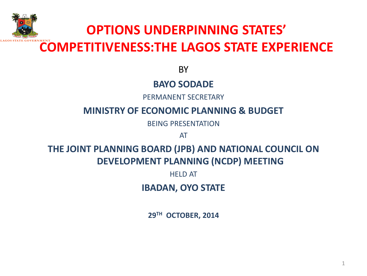

### **OPTIONS UNDERPINNING STATES' COMPETITIVENESS:THE LAGOS STATE EXPERIENCE**

**BY** 

#### **BAYO SODADE**

PERMANENT SECRETARY

#### **MINISTRY OF ECONOMIC PLANNING & BUDGET**

BEING PRESENTATION

AT

#### **THE JOINT PLANNING BOARD (JPB) AND NATIONAL COUNCIL ON DEVELOPMENT PLANNING (NCDP) MEETING**

HELD AT

#### **IBADAN, OYO STATE**

**29TH OCTOBER, 2014**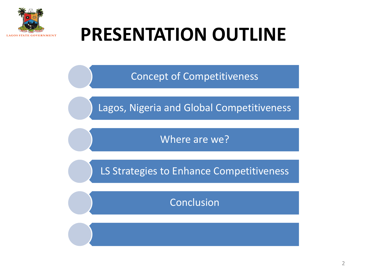

## **PRESENTATION OUTLINE**

Concept of Competitiveness

Lagos, Nigeria and Global Competitiveness

Where are we?

LS Strategies to Enhance Competitiveness

Conclusion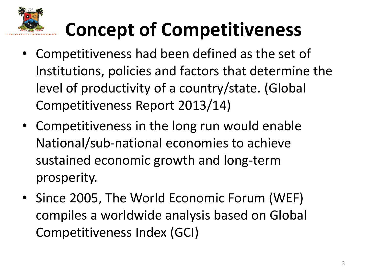

# **Concept of Competitiveness**

- Competitiveness had been defined as the set of Institutions, policies and factors that determine the level of productivity of a country/state. (Global Competitiveness Report 2013/14)
- Competitiveness in the long run would enable National/sub-national economies to achieve sustained economic growth and long-term prosperity.
- Since 2005, The World Economic Forum (WEF) compiles a worldwide analysis based on Global Competitiveness Index (GCI)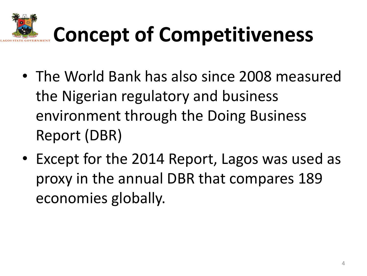

- The World Bank has also since 2008 measured the Nigerian regulatory and business environment through the Doing Business Report (DBR)
- Except for the 2014 Report, Lagos was used as proxy in the annual DBR that compares 189 economies globally.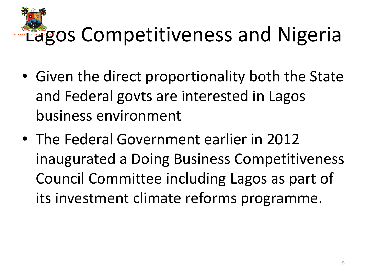### Lagos Competitiveness and Nigeria **LAGOS STATE GOVERNM ENT**

- Given the direct proportionality both the State and Federal govts are interested in Lagos business environment
- The Federal Government earlier in 2012 inaugurated a Doing Business Competitiveness Council Committee including Lagos as part of its investment climate reforms programme.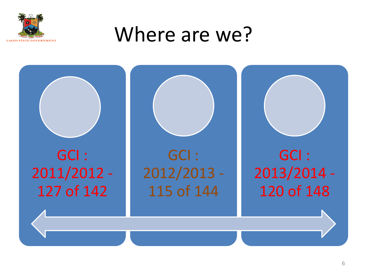

## Where are we?

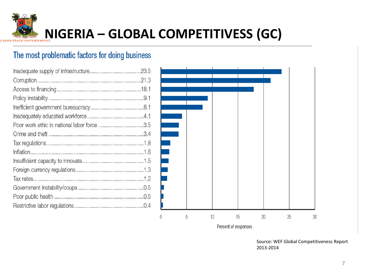

### **NIGERIA – GLOBAL COMPETITIVESS (GC)**

#### The most problematic factors for doing business

| Poor work ethic in national labor force 3.5 |  |
|---------------------------------------------|--|
|                                             |  |
|                                             |  |
|                                             |  |
|                                             |  |
|                                             |  |
|                                             |  |
|                                             |  |
|                                             |  |
|                                             |  |



Source: WEF Global Competitiveness Report 2013-2014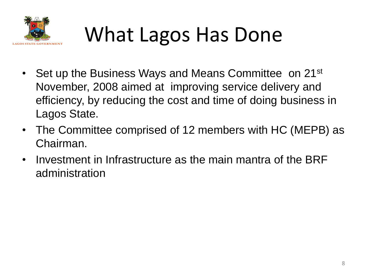

# What Lagos Has Done

- Set up the Business Ways and Means Committee on 21<sup>st</sup> November, 2008 aimed at improving service delivery and efficiency, by reducing the cost and time of doing business in Lagos State.
- The Committee comprised of 12 members with HC (MEPB) as Chairman.
- Investment in Infrastructure as the main mantra of the BRF administration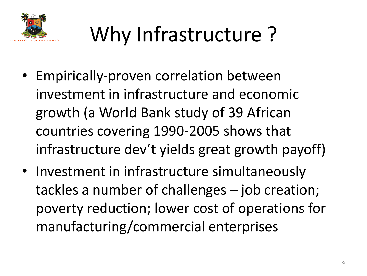

# Why Infrastructure ?

- Empirically-proven correlation between investment in infrastructure and economic growth (a World Bank study of 39 African countries covering 1990-2005 shows that infrastructure dev't yields great growth payoff)
- Investment in infrastructure simultaneously tackles a number of challenges – job creation; poverty reduction; lower cost of operations for manufacturing/commercial enterprises.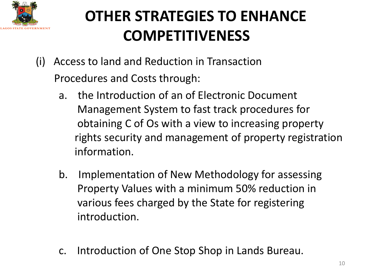

### **OTHER STRATEGIES TO ENHANCE COMPETITIVENESS**

- (i) Access to land and Reduction in Transaction Procedures and Costs through:
	- a. the Introduction of an of Electronic Document Management System to fast track procedures for obtaining C of Os with a view to increasing property rights security and management of property registration information.
	- b. Implementation of New Methodology for assessing Property Values with a minimum 50% reduction in various fees charged by the State for registering introduction.
	- c. Introduction of One Stop Shop in Lands Bureau.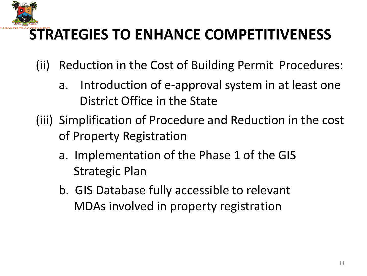

### **STRATEGIES TO ENHANCE COMPETITIVENESS**

- (ii) Reduction in the Cost of Building Permit Procedures:
	- a. Introduction of e-approval system in at least one District Office in the State
- (iii) Simplification of Procedure and Reduction in the cost of Property Registration
	- a. Implementation of the Phase 1 of the GIS Strategic Plan
	- b. GIS Database fully accessible to relevant MDAs involved in property registration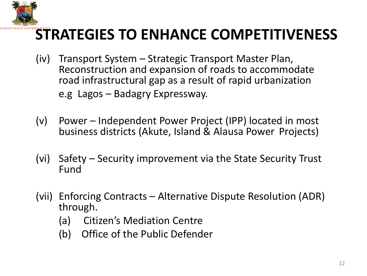

### **STRATEGIES TO ENHANCE COMPETITIVENESS**

- (iv) Transport System Strategic Transport Master Plan, Reconstruction and expansion of roads to accommodate road infrastructural gap as a result of rapid urbanization e.g Lagos – Badagry Expressway.
- (v) Power Independent Power Project (IPP) located in most business districts (Akute, Island & Alausa Power Projects)
- (vi) Safety Security improvement via the State Security Trust Fund
- (vii) Enforcing Contracts Alternative Dispute Resolution (ADR) through.
	- (a) Citizen's Mediation Centre
	- (b) Office of the Public Defender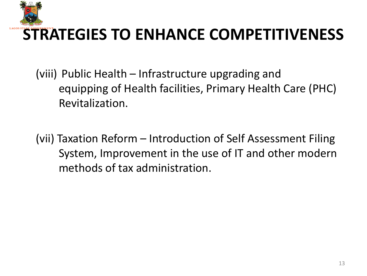

### **LAGOS STRATEGIES TO ENHANCE COMPETITIVENESS**

(viii) Public Health – Infrastructure upgrading and equipping of Health facilities, Primary Health Care (PHC) Revitalization.

(vii) Taxation Reform – Introduction of Self Assessment Filing System, Improvement in the use of IT and other modern methods of tax administration.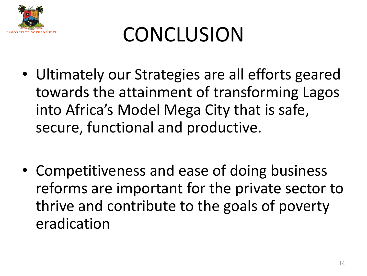

# CONCLUSION

- Ultimately our Strategies are all efforts geared towards the attainment of transforming Lagos into Africa's Model Mega City that is safe, secure, functional and productive.
- Competitiveness and ease of doing business reforms are important for the private sector to thrive and contribute to the goals of poverty eradication